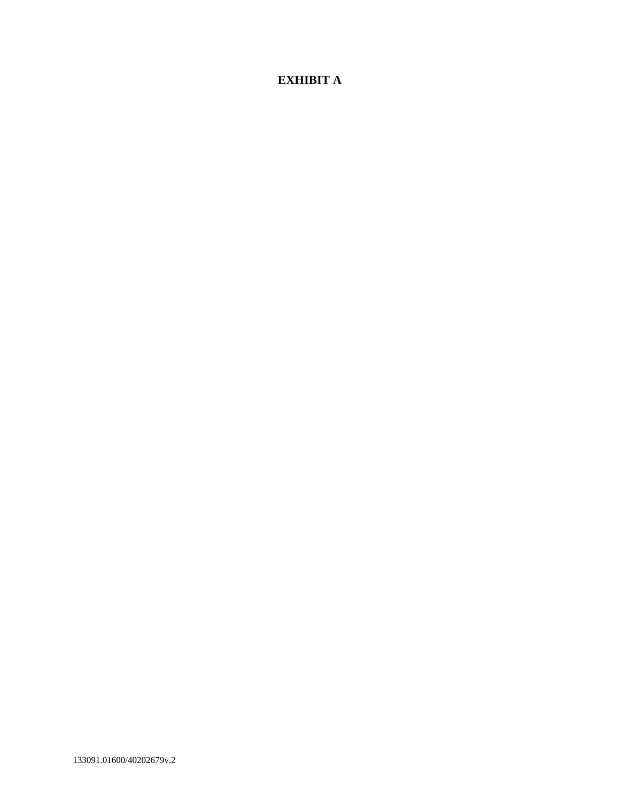## **EXHIBIT A**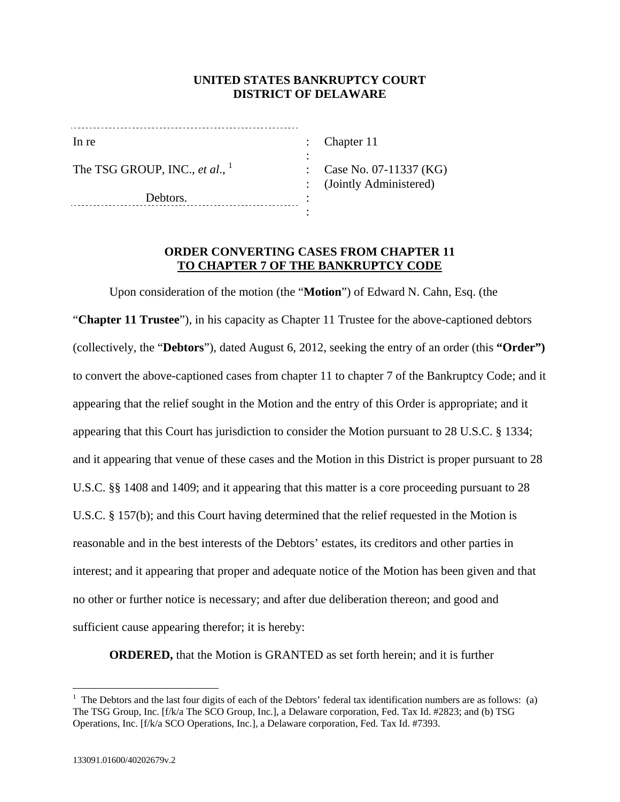## **UNITED STATES BANKRUPTCY COURT DISTRICT OF DELAWARE**

| In re                             |  |
|-----------------------------------|--|
| The TSG GROUP, INC., et al., $^1$ |  |
| Debtors.                          |  |

Chapter 11

 : Case No. 07-11337 (KG) : (Jointly Administered)

## **ORDER CONVERTING CASES FROM CHAPTER 11 TO CHAPTER 7 OF THE BANKRUPTCY CODE**

Upon consideration of the motion (the "**Motion**") of Edward N. Cahn, Esq. (the "**Chapter 11 Trustee**"), in his capacity as Chapter 11 Trustee for the above-captioned debtors (collectively, the "**Debtors**"), dated August 6, 2012, seeking the entry of an order (this **"Order")**  to convert the above-captioned cases from chapter 11 to chapter 7 of the Bankruptcy Code; and it appearing that the relief sought in the Motion and the entry of this Order is appropriate; and it appearing that this Court has jurisdiction to consider the Motion pursuant to 28 U.S.C. § 1334; and it appearing that venue of these cases and the Motion in this District is proper pursuant to 28 U.S.C. §§ 1408 and 1409; and it appearing that this matter is a core proceeding pursuant to 28 U.S.C. § 157(b); and this Court having determined that the relief requested in the Motion is reasonable and in the best interests of the Debtors' estates, its creditors and other parties in interest; and it appearing that proper and adequate notice of the Motion has been given and that no other or further notice is necessary; and after due deliberation thereon; and good and sufficient cause appearing therefor; it is hereby:

**ORDERED,** that the Motion is GRANTED as set forth herein; and it is further

 $\overline{a}$ 

 $<sup>1</sup>$  The Debtors and the last four digits of each of the Debtors' federal tax identification numbers are as follows: (a)</sup> The TSG Group, Inc. [f/k/a The SCO Group, Inc.], a Delaware corporation, Fed. Tax Id. #2823; and (b) TSG Operations, Inc. [f/k/a SCO Operations, Inc.], a Delaware corporation, Fed. Tax Id. #7393.